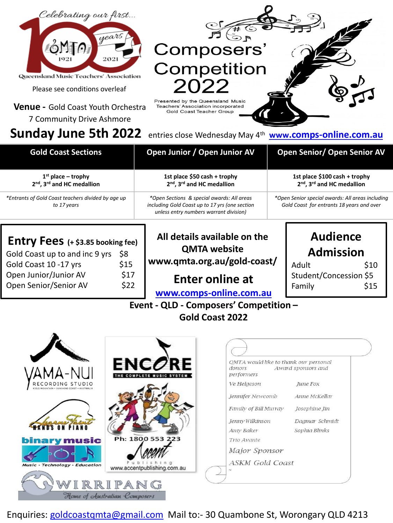

| $\bullet$ changed $\bullet$ $\bullet$ and $\bullet$ and $\bullet$ and $\bullet$ changed the changed $\bullet$ . The contract of $\bullet$ |                                                                                                                                        |                                                                                               |
|-------------------------------------------------------------------------------------------------------------------------------------------|----------------------------------------------------------------------------------------------------------------------------------------|-----------------------------------------------------------------------------------------------|
| <b>Gold Coast Sections</b>                                                                                                                | Open Junior / Open Junior AV                                                                                                           | <b>Open Senior/ Open Senior AV</b>                                                            |
| $1st$ place – trophy<br>2nd, 3rd and HC medallion                                                                                         | 1st place \$50 cash + trophy<br>2nd, 3rd and HC medallion                                                                              | 1st place \$100 cash + trophy<br>2nd, 3rd and HC medallion                                    |
| *Entrants of Gold Coast teachers divided by age up<br>to 17 years                                                                         | *Open Sections & special awards: All areas<br>including Gold Coast up to 17 yrs (one section<br>unless entry numbers warrant division) | *Open Senior special awards: All areas including<br>Gold Coast for entrants 18 years and over |

| Entry Fees (+ \$3.85 booking fee) |      |  |
|-----------------------------------|------|--|
| Gold Coast up to and inc 9 yrs    | \$8  |  |
| Gold Coast 10 -17 yrs             | \$15 |  |
| Open Junior/Junior AV             | \$17 |  |
| Open Senior/Senior AV             | \$22 |  |
|                                   |      |  |

**All details available on the QMTA website www.qmta.org.au/gold-coast/** **Audience** 

**Admission** Adult \$10 Student/Concession \$5 Family \$15

## **Enter online at**

**[www.comps-online.com.au](http://www.comps-online.com.au/)**

## **Event - QLD - Composers' Competition – Gold Coast 2022**

QMTA would like to thank our personal donors Award sponsors and performers Ve Helgeson June Fox Jennifer Newcomb Anne McKellar Family of Bill Murray Josephine Jin Jenny Wilkinson Dagmar Schmidt Amy Baker Sophia Blinks Trio Avante music **Major Sponsor ASKM Gold Coast Technology · Education** www.accentoublishing.com.au RRIPANG Home of Australian Composers

Enquiries: [goldcoastqmta@gmail.com](mailto:goldcoastqmta@gmail.com) Mail to:- 30 Quambone St, Worongary QLD 4213